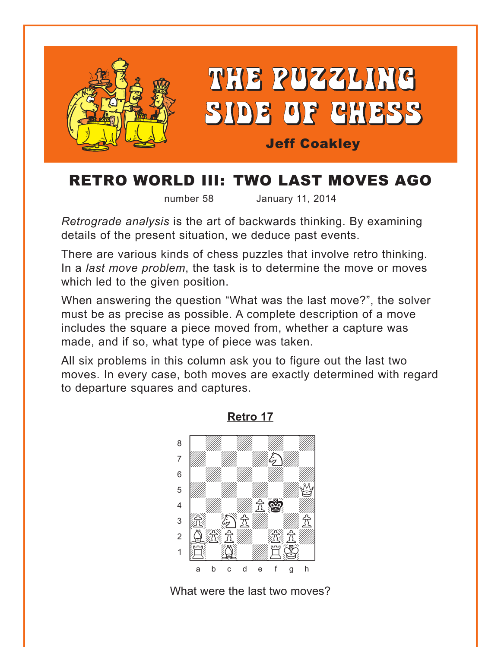<span id="page-0-0"></span>

## RETRO WORLD III: TWO LAST MOVES AGO

number 58 January 11, 2014

*Retrograde analysis* is the art of backwards thinking. By examining details of the present situation, we deduce past events.

There are various kinds of chess puzzles that involve retro thinking. In a *last move problem*, the task is to determine the move or moves which led to the given position.

When answering the question "What was the last move?", the solver must be as precise as possible. A complete description of a move includes the square a piece moved from, whether a capture was made, and if so, what type of piece was taken.

All six problems in this column ask you to figure out the last two moves. In every case, both moves are exactly determined with regard to departure squares and captures.



**[Retro 17](#page-4-0)**

What were the last two moves?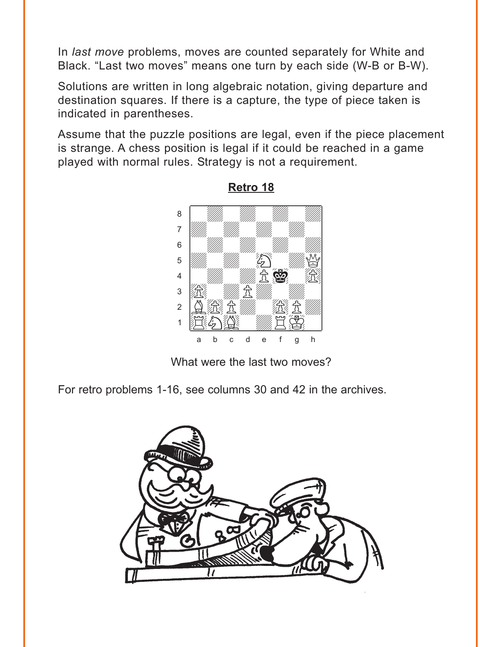<span id="page-1-0"></span>In last move problems, moves are counted separately for White and Black. "Last two moves" means one turn by each side (W-B or B-W).

Solutions are written in long algebraic notation, giving departure and destination squares. If there is a capture, the type of piece taken is indicated in parentheses.

Assume that the puzzle positions are legal, even if the piece placement is strange. A chess position is legal if it could be reached in a game played with normal rules. Strategy is not a requirement.



Retro 18

What were the last two moves?

For retro problems 1-16, see columns 30 and 42 in the archives.

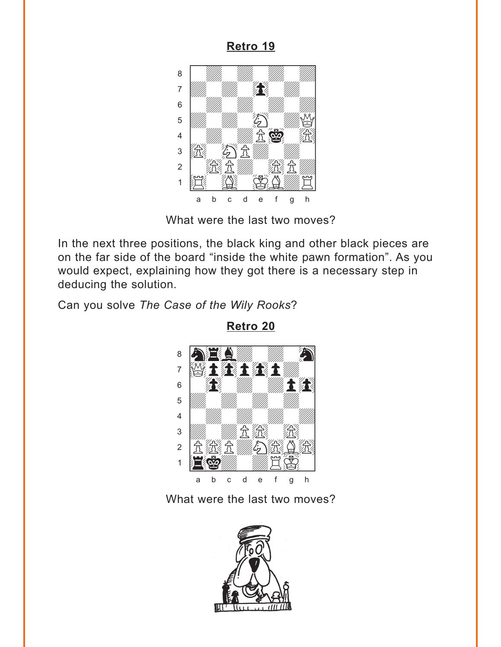<span id="page-2-0"></span>

What were the last two moves?

In the next three positions, the black king and other black pieces are on the far side of the board "inside the white pawn formation". As you would expect, explaining how they got there is a necessary step in deducing the solution.

Can you solve *The Case of the Wily Rooks*?



**[Retro 20](#page-7-0)**

What were the last two moves?

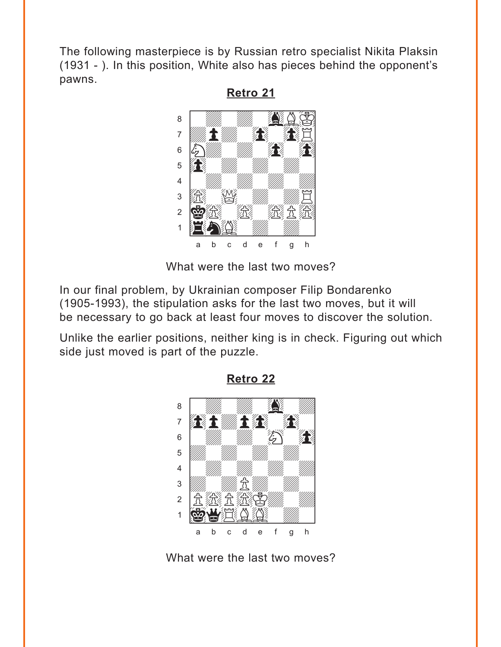<span id="page-3-0"></span>The following masterpiece is by Russian retro specialist Nikita Plaksin (1931 - ). In this position, White also has pieces behind the opponent's pawns.

Retro 21

8

 $\overline{7}$ 6 5  $\overline{4}$ 3

 $\overline{2}$  $\mathbf{1}$ 

II. 靈金酒 H  $\mathbf{C}$  $\sf d$  $\mathbf{e}$  $\mathsf f$  $\overline{q}$  $h$ a h

What were the last two moves?

In our final problem, by Ukrainian composer Filip Bondarenko (1905-1993), the stipulation asks for the last two moves, but it will be necessary to go back at least four moves to discover the solution.

Unlike the earlier positions, neither king is in check. Figuring out which side just moved is part of the puzzle.



**Retro 22** 

What were the last two moves?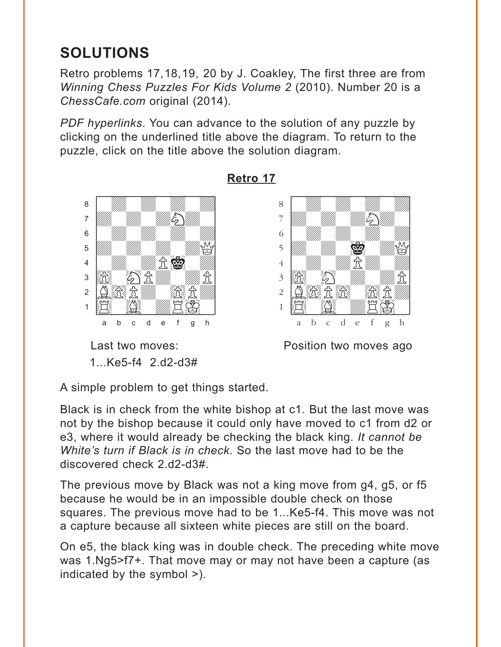# <span id="page-4-0"></span>**SOLUTIONS**

Retro problems 17,18,19, 20 by J. Coakley, The first three are from *Winning Chess Puzzles For Kids Volume 2* (2010). Number 20 is a *ChessCafe.com* original (2014).

*PDF hyperlinks*. You can advance to the solution of any puzzle by clicking on the underlined title above the diagram. To return to the puzzle, click on the title above the solution diagram.



### **[Retro 17](#page-0-0)**



1...Ke5-f4 2.d2-d3#

Last two moves: **Example 2** Position two moves ago

A simple problem to get things started.

Black is in check from the white bishop at c1. But the last move was not by the bishop because it could only have moved to c1 from d2 or e3, where it would already be checking the black king. *It cannot be White's turn if Black is in check*. So the last move had to be the discovered check 2.d2-d3#.

The previous move by Black was not a king move from g4, g5, or f5 because he would be in an impossible double check on those squares. The previous move had to be 1...Ke5-f4. This move was not a capture because all sixteen white pieces are still on the board.

On e5, the black king was in double check. The preceding white move was 1.Ng5>f7+. That move may or may not have been a capture (as indicated by the symbol >).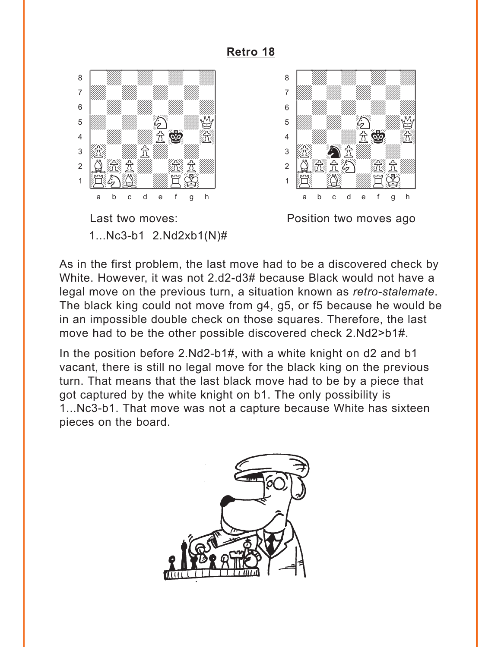<span id="page-5-0"></span>

1...Nc3-b1  $2.Nd2xb1(N)\#$ 



Position two moves ago

As in the first problem, the last move had to be a discovered check by White. However, it was not 2.d2-d3# because Black would not have a legal move on the previous turn, a situation known as retro-stalemate. The black king could not move from g4, g5, or f5 because he would be in an impossible double check on those squares. Therefore, the last move had to be the other possible discovered check 2.Nd2>b1#.

In the position before 2.Nd2-b1#, with a white knight on d2 and b1 vacant, there is still no legal move for the black king on the previous turn. That means that the last black move had to be by a piece that got captured by the white knight on b1. The only possibility is 1...Nc3-b1. That move was not a capture because White has sixteen pieces on the board.

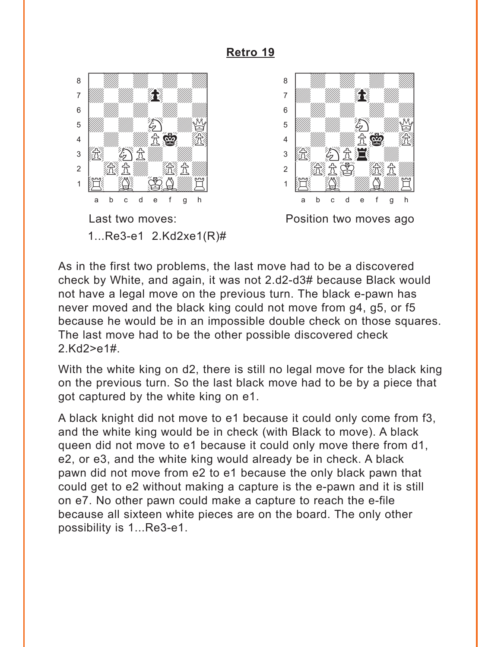<span id="page-6-0"></span>

As in the first two problems, the last move had to be a discovered check by White, and again, it was not 2.d2-d3# because Black would not have a legal move on the previous turn. The black e-pawn has never moved and the black king could not move from g4, g5, or f5 because he would be in an impossible double check on those squares. The last move had to be the other possible discovered check  $2.Kd2 > e1#$ .

With the white king on d2, there is still no legal move for the black king on the previous turn. So the last black move had to be by a piece that got captured by the white king on e1.

A black knight did not move to e1 because it could only come from f3, and the white king would be in check (with Black to move). A black queen did not move to e1 because it could only move there from d1, e2, or e3, and the white king would already be in check. A black pawn did not move from e2 to e1 because the only black pawn that could get to e2 without making a capture is the e-pawn and it is still on e7. No other pawn could make a capture to reach the e-file because all sixteen white pieces are on the board. The only other possibility is 1...Re3-e1.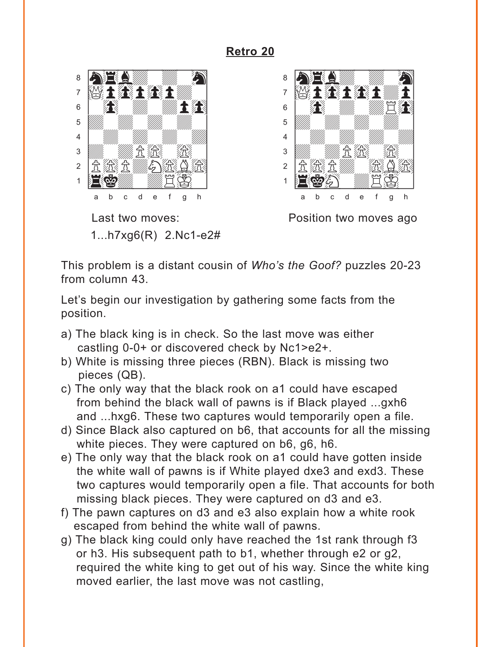<span id="page-7-0"></span>

1...h7xg6(R) 2.Nc1-e2#



Last two moves: **Example 2** Position two moves ago

This problem is a distant cousin of *Who's the Goof?* puzzles 20-23 from column 43.

Let's begin our investigation by gathering some facts from the position.

- a) The black king is in check. So the last move was either castling 0-0+ or discovered check by Nc1>e2+.
- b) White is missing three pieces (RBN). Black is missing two pieces (QB).
- c) The only way that the black rook on a1 could have escaped from behind the black wall of pawns is if Black played ...gxh6 and ...hxg6. These two captures would temporarily open a file.
- d) Since Black also captured on b6, that accounts for all the missing white pieces. They were captured on b6, g6, h6.
- e) The only way that the black rook on a1 could have gotten inside the white wall of pawns is if White played dxe3 and exd3. These two captures would temporarily open a file. That accounts for both missing black pieces. They were captured on d3 and e3.
- f) The pawn captures on d3 and e3 also explain how a white rook escaped from behind the white wall of pawns.
- g) The black king could only have reached the 1st rank through f3 or h3. His subsequent path to b1, whether through e2 or g2, required the white king to get out of his way. Since the white king moved earlier, the last move was not castling,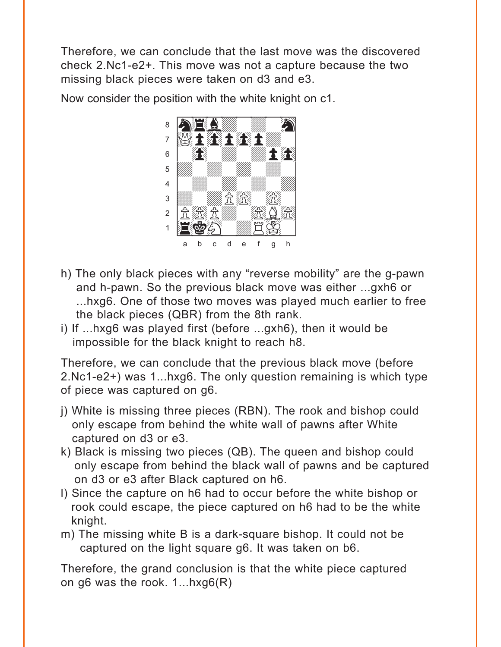Therefore, we can conclude that the last move was the discovered check 2.Nc1-e2+. This move was not a capture because the two missing black pieces were taken on d3 and e3.

Now consider the position with the white knight on c1.



- h) The only black pieces with any "reverse mobility" are the g-pawn and h-pawn. So the previous black move was either ...gxh6 or ...hxg6. One of those two moves was played much earlier to free the black pieces (QBR) from the 8th rank.
- i) If ...hxg6 was played first (before ...gxh6), then it would be impossible for the black knight to reach h8.

Therefore, we can conclude that the previous black move (before 2.Nc1-e2+) was 1...hxg6. The only question remaining is which type of piece was captured on g6.

- j) White is missing three pieces (RBN). The rook and bishop could only escape from behind the white wall of pawns after White captured on d3 or e3.
- k) Black is missing two pieces (QB). The queen and bishop could only escape from behind the black wall of pawns and be captured on d3 or e3 after Black captured on h6.
- l) Since the capture on h6 had to occur before the white bishop or rook could escape, the piece captured on h6 had to be the white knight.
- m) The missing white B is a dark-square bishop. It could not be captured on the light square g6. It was taken on b6.

Therefore, the grand conclusion is that the white piece captured on g6 was the rook. 1...hxg6(R)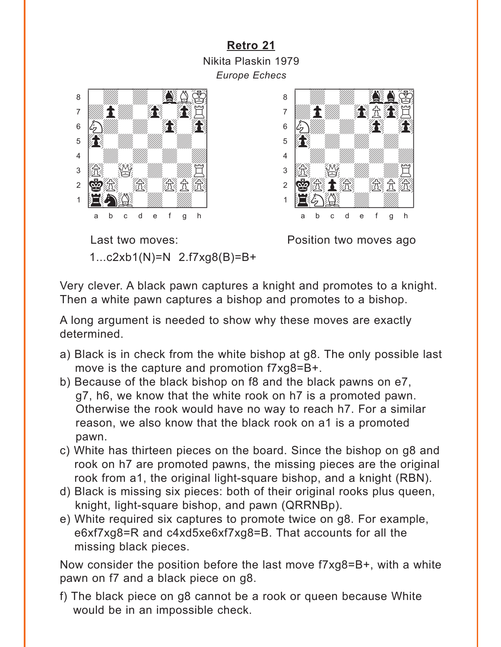<span id="page-9-0"></span>**[Retro 21](#page-3-0)** Nikita Plaskin 1979 *Europe Echecs*





Last two moves: **Example 2** Position two moves ago 1...c2xb1(N)=N 2.f7xg8(B)=B+

Very clever. A black pawn captures a knight and promotes to a knight. Then a white pawn captures a bishop and promotes to a bishop.

A long argument is needed to show why these moves are exactly determined.

- a) Black is in check from the white bishop at g8. The only possible last move is the capture and promotion f7xg8=B+.
- b) Because of the black bishop on f8 and the black pawns on e7, g7, h6, we know that the white rook on h7 is a promoted pawn. Otherwise the rook would have no way to reach h7. For a similar reason, we also know that the black rook on a1 is a promoted pawn.
- c) White has thirteen pieces on the board. Since the bishop on g8 and rook on h7 are promoted pawns, the missing pieces are the original rook from a1, the original light-square bishop, and a knight (RBN).
- d) Black is missing six pieces: both of their original rooks plus queen, knight, light-square bishop, and pawn (QRRNBp).
- e) White required six captures to promote twice on g8. For example, e6xf7xg8=R and c4xd5xe6xf7xg8=B. That accounts for all the missing black pieces.

Now consider the position before the last move f7xg8=B+, with a white pawn on f7 and a black piece on g8.

f) The black piece on g8 cannot be a rook or queen because White would be in an impossible check.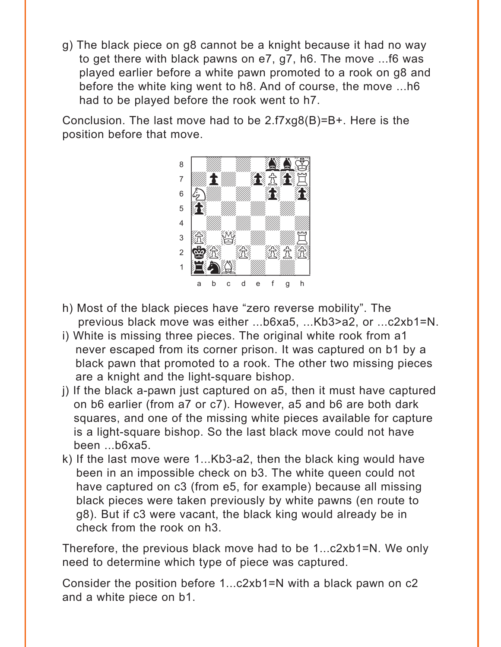g) The black piece on g8 cannot be a knight because it had no way to get there with black pawns on e7, g7, h6. The move ...f6 was played earlier before a white pawn promoted to a rook on g8 and before the white king went to h8. And of course, the move ...h6 had to be played before the rook went to h7.

Conclusion. The last move had to be 2.f7xg8(B)=B+. Here is the position before that move.



- h) Most of the black pieces have "zero reverse mobility". The previous black move was either ...b6xa5, ...Kb3>a2, or ...c2xb1=N.
- i) White is missing three pieces. The original white rook from a1 never escaped from its corner prison. It was captured on b1 by a black pawn that promoted to a rook. The other two missing pieces are a knight and the light-square bishop.
- j) If the black a-pawn just captured on a5, then it must have captured on b6 earlier (from a7 or c7). However, a5 and b6 are both dark squares, and one of the missing white pieces available for capture is a light-square bishop. So the last black move could not have been ...b6xa5.
- k) If the last move were 1...Kb3-a2, then the black king would have been in an impossible check on b3. The white queen could not have captured on c3 (from e5, for example) because all missing black pieces were taken previously by white pawns (en route to g8). But if c3 were vacant, the black king would already be in check from the rook on h3.

Therefore, the previous black move had to be 1...c2xb1=N. We only need to determine which type of piece was captured.

Consider the position before 1...c2xb1=N with a black pawn on c2 and a white piece on b1.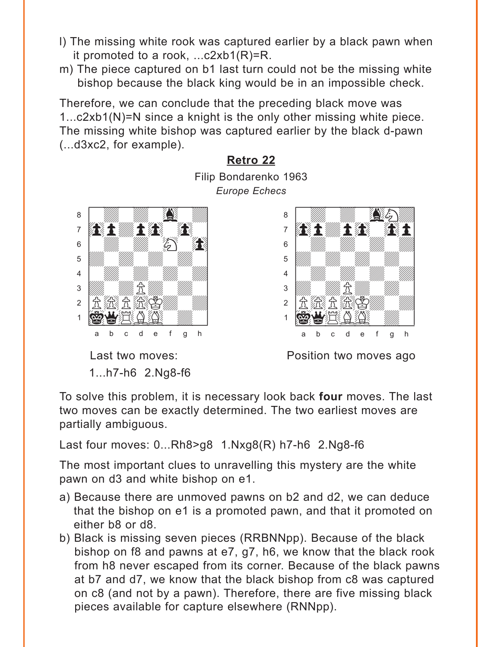- <span id="page-11-0"></span>l) The missing white rook was captured earlier by a black pawn when it promoted to a rook, ...c2xb1(R)=R.
- m) The piece captured on b1 last turn could not be the missing white bishop because the black king would be in an impossible check.

Therefore, we can conclude that the preceding black move was 1...c2xb1(N)=N since a knight is the only other missing white piece. The missing white bishop was captured earlier by the black d-pawn (...d3xc2, for example).

> **[Retro 22](#page-3-0)** Filip Bondarenko 1963 *Europe Echecs*



1...h7-h6 2.Ng8-f6



Last two moves: **Example 2** Position two moves ago

To solve this problem, it is necessary look back **four** moves. The last two moves can be exactly determined. The two earliest moves are partially ambiguous.

Last four moves: 0...Rh8>g8 1.Nxg8(R) h7-h6 2.Ng8-f6

The most important clues to unravelling this mystery are the white pawn on d3 and white bishop on e1.

- a) Because there are unmoved pawns on b2 and d2, we can deduce that the bishop on e1 is a promoted pawn, and that it promoted on either b8 or d8.
- b) Black is missing seven pieces (RRBNNpp). Because of the black bishop on f8 and pawns at e7, g7, h6, we know that the black rook from h8 never escaped from its corner. Because of the black pawns at b7 and d7, we know that the black bishop from c8 was captured on c8 (and not by a pawn). Therefore, there are five missing black pieces available for capture elsewhere (RNNpp).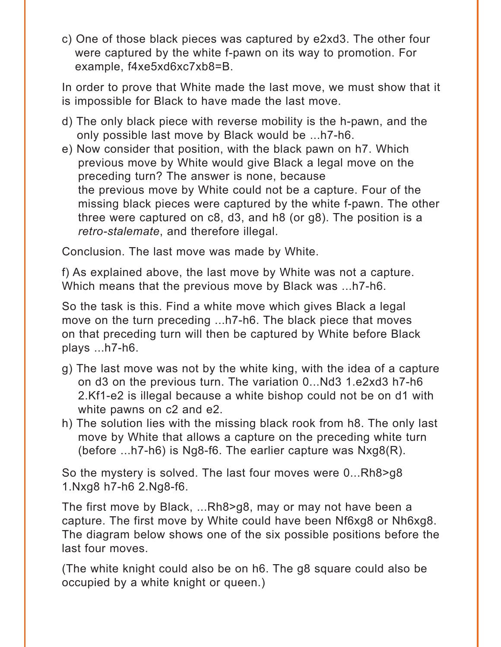c) One of those black pieces was captured by e2xd3. The other four were captured by the white f-pawn on its way to promotion. For example, f4xe5xd6xc7xb8=B.

In order to prove that White made the last move, we must show that it is impossible for Black to have made the last move.

- d) The only black piece with reverse mobility is the h-pawn, and the only possible last move by Black would be ...h7-h6.
- e) Now consider that position, with the black pawn on h7. Which previous move by White would give Black a legal move on the preceding turn? The answer is none, because the previous move by White could not be a capture. Four of the missing black pieces were captured by the white f-pawn. The other three were captured on c8, d3, and h8 (or g8). The position is a *retro-stalemate*, and therefore illegal.

Conclusion. The last move was made by White.

f) As explained above, the last move by White was not a capture. Which means that the previous move by Black was ...h7-h6.

So the task is this. Find a white move which gives Black a legal move on the turn preceding ...h7-h6. The black piece that moves on that preceding turn will then be captured by White before Black plays ...h7-h6.

- g) The last move was not by the white king, with the idea of a capture on d3 on the previous turn. The variation 0...Nd3 1.e2xd3 h7-h6 2.Kf1-e2 is illegal because a white bishop could not be on d1 with white pawns on c2 and e2.
- h) The solution lies with the missing black rook from h8. The only last move by White that allows a capture on the preceding white turn (before ...h7-h6) is Ng8-f6. The earlier capture was Nxg8(R).

So the mystery is solved. The last four moves were 0...Rh8>g8 1.Nxg8 h7-h6 2.Ng8-f6.

The first move by Black, ...Rh8>g8, may or may not have been a capture. The first move by White could have been Nf6xg8 or Nh6xg8. The diagram below shows one of the six possible positions before the last four moves.

(The white knight could also be on h6. The g8 square could also be occupied by a white knight or queen.)